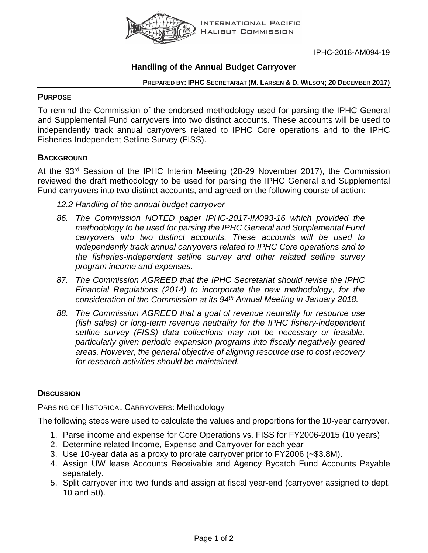

# **Handling of the Annual Budget Carryover**

#### **PREPARED BY: IPHC SECRETARIAT (M. LARSEN & D. WILSON; 20 DECEMBER 2017)**

# **PURPOSE**

To remind the Commission of the endorsed methodology used for parsing the IPHC General and Supplemental Fund carryovers into two distinct accounts. These accounts will be used to independently track annual carryovers related to IPHC Core operations and to the IPHC Fisheries-Independent Setline Survey (FISS).

# **BACKGROUND**

At the 93rd Session of the IPHC Interim Meeting (28-29 November 2017), the Commission reviewed the draft methodology to be used for parsing the IPHC General and Supplemental Fund carryovers into two distinct accounts, and agreed on the following course of action:

- *12.2 Handling of the annual budget carryover*
- *86. The Commission NOTED paper IPHC-2017-IM093-16 which provided the methodology to be used for parsing the IPHC General and Supplemental Fund carryovers into two distinct accounts. These accounts will be used to independently track annual carryovers related to IPHC Core operations and to the fisheries-independent setline survey and other related setline survey program income and expenses.*
- *87. The Commission AGREED that the IPHC Secretariat should revise the IPHC Financial Regulations (2014) to incorporate the new methodology, for the consideration of the Commission at its 94th Annual Meeting in January 2018.*
- *88. The Commission AGREED that a goal of revenue neutrality for resource use (fish sales) or long-term revenue neutrality for the IPHC fishery-independent setline survey (FISS) data collections may not be necessary or feasible, particularly given periodic expansion programs into fiscally negatively geared areas. However, the general objective of aligning resource use to cost recovery for research activities should be maintained.*

# **DISCUSSION**

### PARSING OF HISTORICAL CARRYOVERS: Methodology

The following steps were used to calculate the values and proportions for the 10-year carryover.

- 1. Parse income and expense for Core Operations vs. FISS for FY2006-2015 (10 years)
- 2. Determine related Income, Expense and Carryover for each year
- 3. Use 10-year data as a proxy to prorate carryover prior to FY2006 (~\$3.8M).
- 4. Assign UW lease Accounts Receivable and Agency Bycatch Fund Accounts Payable separately.
- 5. Split carryover into two funds and assign at fiscal year-end (carryover assigned to dept. 10 and 50).